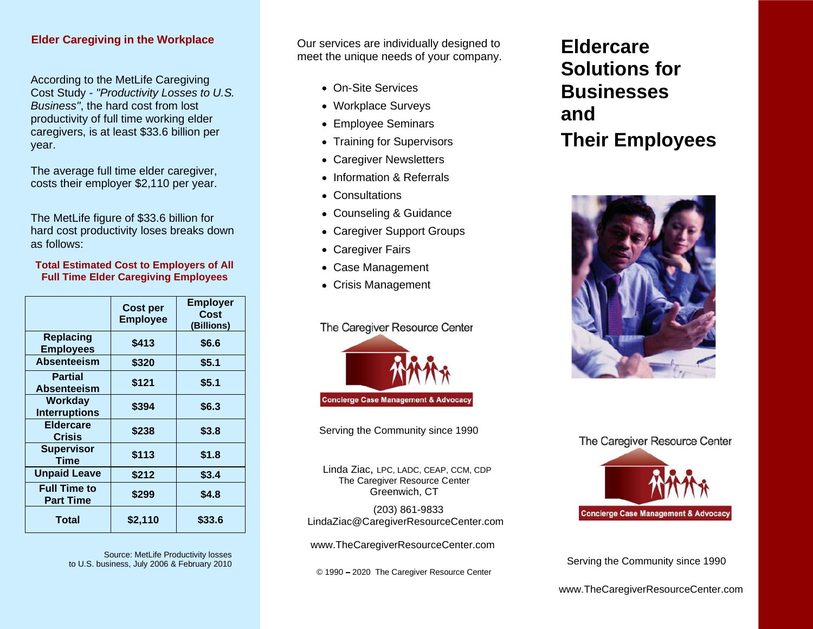### **Elder Caregiving in the Workplace**

. Cost Study *- "Productivity Losses to U.S.* According to the MetLife Caregiving *Business"*, the hard cost from lost productivity of full time working elder caregivers, is at least \$33.6 billion per year.

The average full time elder caregiver, costs their employer \$2,110 per year.

The MetLife figure of \$33.6 billion for hard cost productivity loses breaks down as follows:

### **Total Estimated Cost to Employers of All Full Time Elder Caregiving Employees**

|                                         | Cost per<br><b>Employee</b> | <b>Employer</b><br>Cost<br>(Billions) |
|-----------------------------------------|-----------------------------|---------------------------------------|
| Replacing<br><b>Employees</b>           | \$413                       | \$6.6                                 |
| Absenteeism                             | \$320                       | \$5.1                                 |
| <b>Partial</b><br>Absenteeism           | \$121                       | \$5.1                                 |
| Workday<br><b>Interruptions</b>         | \$394                       | \$6.3                                 |
| Eldercare<br><b>Crisis</b>              | \$238                       | \$3.8                                 |
| <b>Supervisor</b><br>Time               | \$113                       | \$1.8                                 |
| <b>Unpaid Leave</b>                     | \$212                       | \$3.4                                 |
| <b>Full Time to</b><br><b>Part Time</b> | \$299                       | \$4.8                                 |
| <b>Total</b>                            | \$2,110                     | \$33.6                                |

Source: MetLife Productivity losses to U.S. business, July 2006 & February 2010<br>
Serving the Community since 1990

**Pur services are individually designed to** meet the unique needs of your company.

- On-Site Services
- Workplace Surveys
- Employee Seminars
- Training for Supervisors
- Caregiver Newsletters
- Information & Referrals
- Consultations
- Counseling & Guidance
- Caregiver Support Groups
- Caregiver Fairs
- Case Management
- Crisis Management

### The Caregiver Resource Center



Serving the Community since 1990

Linda Ziac, LPC, LADC, CEAP, CCM, CDP The Caregiver Resource Center Greenwich, CT

(203) 861-9833 [LindaZiac@CaregiverResourceCenter.com](mailto:LindaZiac@CaregiverResourceCenter.com)

[www.TheCaregiverResourceCenter.co](www.TheCaregiverResourceCenter.com)m

© 1990 2020 The Caregiver Resource Center

# **Eldercare Solutions for Businesses and Their Employees**



### The Caregiver Resource Center



<www.TheCaregiverResourceCenter.com>